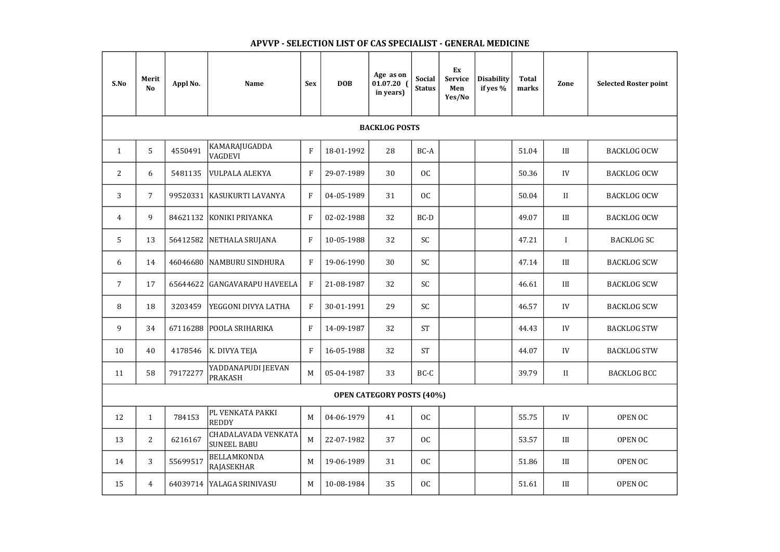| S.No           | Merit<br>N <sub>o</sub> | Appl No. | <b>Name</b>                        | <b>Sex</b>     | <b>DOB</b> | Age as on<br>01.07.20<br>in years) | <b>Social</b><br><b>Status</b> | Ex<br><b>Service</b><br>Men<br>Yes/No | <b>Disability</b><br>if yes % | <b>Total</b><br>marks | Zone         | <b>Selected Roster point</b> |
|----------------|-------------------------|----------|------------------------------------|----------------|------------|------------------------------------|--------------------------------|---------------------------------------|-------------------------------|-----------------------|--------------|------------------------------|
|                |                         |          |                                    |                |            | <b>BACKLOG POSTS</b>               |                                |                                       |                               |                       |              |                              |
| $\mathbf{1}$   | 5                       | 4550491  | KAMARAJUGADDA<br><b>VAGDEVI</b>    | $\mathbf F$    | 18-01-1992 | 28                                 | BC-A                           |                                       |                               | 51.04                 | III          | <b>BACKLOG OCW</b>           |
| $\overline{2}$ | 6                       | 5481135  | VULPALA ALEKYA                     | $\overline{F}$ | 29-07-1989 | 30                                 | <b>OC</b>                      |                                       |                               | 50.36                 | IV           | <b>BACKLOG OCW</b>           |
| 3              | $\overline{7}$          |          | 99520331   KASUKURTI LAVANYA       | $\mathbf{F}$   | 04-05-1989 | 31                                 | <b>OC</b>                      |                                       |                               | 50.04                 | $\mathbf{I}$ | <b>BACKLOG OCW</b>           |
| 4              | 9                       |          | 84621132 KONIKI PRIYANKA           | $\mathbf{F}$   | 02-02-1988 | 32                                 | BC-D                           |                                       |                               | 49.07                 | III          | <b>BACKLOG OCW</b>           |
| 5              | 13                      |          | 56412582   NETHALA SRUJANA         | $\mathbf{F}$   | 10-05-1988 | 32                                 | <b>SC</b>                      |                                       |                               | 47.21                 | $\mathbf{I}$ | <b>BACKLOG SC</b>            |
| 6              | 14                      |          | 46046680 NAMBURU SINDHURA          | $\overline{F}$ | 19-06-1990 | 30                                 | <b>SC</b>                      |                                       |                               | 47.14                 | III          | <b>BACKLOG SCW</b>           |
| $\overline{7}$ | 17                      |          | 65644622 GANGAVARAPU HAVEELA       | $\overline{F}$ | 21-08-1987 | 32                                 | SC                             |                                       |                               | 46.61                 | III          | <b>BACKLOG SCW</b>           |
| 8              | 18                      | 3203459  | YEGGONI DIVYA LATHA                | $\mathbf F$    | 30-01-1991 | 29                                 | SC                             |                                       |                               | 46.57                 | IV           | <b>BACKLOG SCW</b>           |
| 9              | 34                      |          | 67116288 POOLA SRIHARIKA           | $\mathbf{F}$   | 14-09-1987 | 32                                 | <b>ST</b>                      |                                       |                               | 44.43                 | IV           | <b>BACKLOG STW</b>           |
| 10             | 40                      | 4178546  | <b>K. DIVYA TEJA</b>               | $\mathbf{F}$   | 16-05-1988 | 32                                 | <b>ST</b>                      |                                       |                               | 44.07                 | IV           | <b>BACKLOG STW</b>           |
| 11             | 58                      | 79172277 | YADDANAPUDI JEEVAN<br>PRAKASH      | M              | 05-04-1987 | 33                                 | BC-C                           |                                       |                               | 39.79                 | II           | <b>BACKLOG BCC</b>           |
|                |                         |          |                                    |                |            | <b>OPEN CATEGORY POSTS (40%)</b>   |                                |                                       |                               |                       |              |                              |
| 12             | $\mathbf{1}$            | 784153   | PL VENKATA PAKKI<br>REDDY          | M              | 04-06-1979 | 41                                 | OC                             |                                       |                               | 55.75                 | IV           | OPEN OC                      |
| 13             | $\overline{2}$          | 6216167  | CHADALAVADA VENKATA<br>SUNEEL BABU | M              | 22-07-1982 | 37                                 | OC                             |                                       |                               | 53.57                 | III          | OPEN OC                      |
| 14             | 3                       | 55699517 | <b>BELLAMKONDA</b><br>RAJASEKHAR   | M              | 19-06-1989 | 31                                 | OC                             |                                       |                               | 51.86                 | III          | OPEN OC                      |
| 15             | $\overline{4}$          |          | 64039714 YALAGA SRINIVASU          | M              | 10-08-1984 | 35                                 | OC                             |                                       |                               | 51.61                 | III          | OPEN OC                      |

## APVVP - SELECTION LIST OF CAS SPECIALIST - GENERAL MEDICINE

| <b>Selected Roster point</b> |
|------------------------------|
|                              |
| <b>BACKLOG OCW</b>           |
| <b>BACKLOG OCW</b>           |
| <b>BACKLOG OCW</b>           |
| <b>BACKLOG OCW</b>           |
| <b>BACKLOG SC</b>            |
| <b>BACKLOG SCW</b>           |
| <b>BACKLOG SCW</b>           |
| <b>BACKLOG SCW</b>           |
| <b>BACKLOG STW</b>           |
| <b>BACKLOG STW</b>           |
| <b>BACKLOG BCC</b>           |
|                              |
| <b>OPEN OC</b>               |
| <b>OPEN OC</b>               |
| <b>OPEN OC</b>               |
| OPEN OC                      |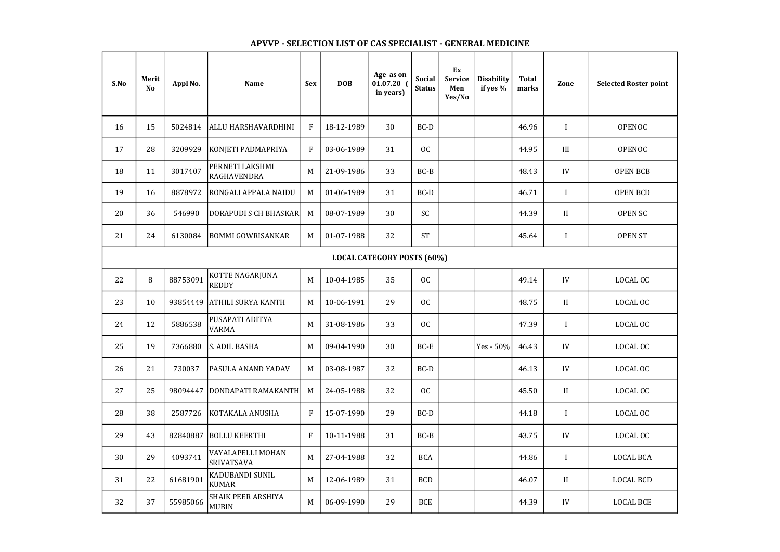## APVVP - SELECTION LIST OF CAS SPECIALIST - GENERAL MEDICINE

| <b>Selected Roster point</b> |
|------------------------------|
| OPENOC                       |
| <b>OPENOC</b>                |
| <b>OPEN BCB</b>              |
| <b>OPEN BCD</b>              |
| <b>OPEN SC</b>               |
| <b>OPEN ST</b>               |
|                              |
| <b>LOCAL OC</b>              |
| <b>LOCAL OC</b>              |
| <b>LOCAL OC</b>              |
| <b>LOCAL OC</b>              |
| <b>LOCAL OC</b>              |
| <b>LOCAL OC</b>              |
| LOCAL OC                     |
| LOCAL OC                     |
| <b>LOCAL BCA</b>             |
| LOCAL BCD                    |
| <b>LOCAL BCE</b>             |
|                              |

## S.No Selected Roster point Merit  $\begin{array}{c|c|c|c} \text{Herit} & \text{Appl No.} & \text{Name} & \text{Sex} & \text{DOB} \end{array}$ Age as on 01.07.20 ( in years) Social **Status** Ex Service Men Yes/No Disability if yes % Total marks Zone 16 | 15 | 5024814 |ALLU HARSHAVARDHINI | F | 18-12-1989 | 30 | BC-D | | | 46.96 | I 17 | 28 | 3209929 |KONJETI PADMAPRIYA | F | 03-06-1989 | 31 | OC | | | | | | | 44.95 | | |||  $\begin{array}{|c|c|c|c|c|}\n\hline\n18 & 11 & 3017407 & \text{RAGHAVENDRA}\n\hline\n\end{array}$ RAGHAVENDRA M 21-09-1986 33 BC-B 48.43 IV OPEN BCB 19 | 16 | 8878972 RONGALI APPALA NAIDU | M | 01-06-1989 | 31 | BC-D | | 46.71 | I 20 | 36 | 546990 DORAPUDI S CH BHASKAR | M | 08-07-1989 | 30 | SC | | | | | | | | 44.39 | | | | 21 | 24 | 6130084 |BOMMI GOWRISANKAR | M | 01-07-1988 | 32 | ST | | 45.64 | I 22 8 88753091 KOTTE NAGARJUNA REDDY M 10-04-1985 35 OC 49.14 IV LOCAL OC 23 | 10 | 93854449 |ATHILI SURYA KANTH | M | 10-06-1991 | 29 | OC | | | | | | | | 48.75 | | | | | 24 | 12 | 5886538 | PUSAPATI ADITYA PUSAPAILADILYA | M 31-08-1986 | 33 | OC | | | | | 47.39 | I | LOCAL OC 25 | 19 | 7366880 |S. ADIL BASHA | M | 09-04-1990 | 30 | BC-E | |Yes - 50% | 46.43 | IV | LOCAL OC 26 | 21 | 730037 | PASULA ANAND YADAV | M | 03-08-1987 | 32 | BC-D | | | | | 46.13 | IV 27 | 25 | 98094447 |DONDAPATI RAMAKANTH | M | 24-05-1988 | 32 | OC | | | 45.50 | II 28 38 2587726 KOTAKALA ANUSHA F 15-07-1990 29 BC-D 1 29 43 82840887 BOLLU KEERTHI F 10-11-1988 31 BC-B 43.75 IV LOCAL OC 30 29 4093741 VAYALAPELLI MOHAN SRIVATSAVA M 27-04-1988 32 BCA 44.86 I LOCAL BCA 31 22 61681901 KADUBANDI SUNIL KUMAR M 12-06-1989 31 BCD 46.07 II LOCAL BCD  $32 \begin{array}{|l|} \end{array}$  37 55985066 SHAIK PEER ARSHIYA SHAIK PEER ARSHIYA | M | 06-09-1990 | 29 | BCE | | | | | | | 44.39 | | IV | | LOCAL BCE | | | | | | | | | | | |<br>MUBIN LOCAL CATEGORY POSTS (60%)